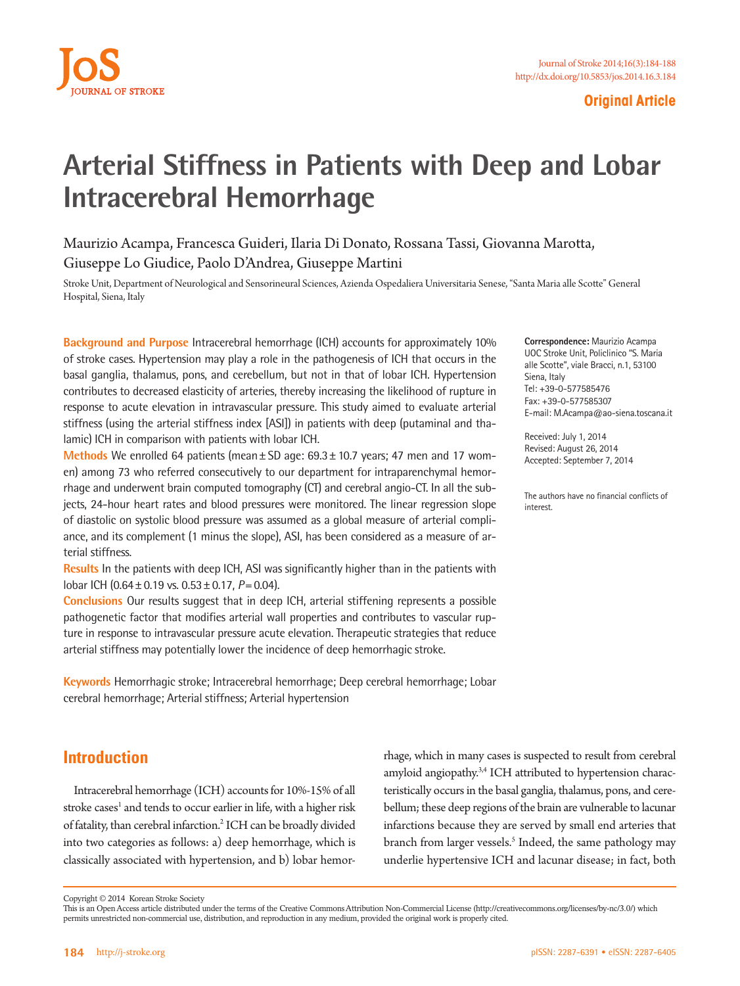

### **Original Article**

# **Arterial Stiffness in Patients with Deep and Lobar Intracerebral Hemorrhage**

Maurizio Acampa, Francesca Guideri, Ilaria Di Donato, Rossana Tassi, Giovanna Marotta, Giuseppe Lo Giudice, Paolo D'Andrea, Giuseppe Martini

Stroke Unit, Department of Neurological and Sensorineural Sciences, Azienda Ospedaliera Universitaria Senese, "Santa Maria alle Scotte" General Hospital, Siena, Italy

**Background and Purpose** Intracerebral hemorrhage (ICH) accounts for approximately 10% of stroke cases. Hypertension may play a role in the pathogenesis of ICH that occurs in the basal ganglia, thalamus, pons, and cerebellum, but not in that of lobar ICH. Hypertension contributes to decreased elasticity of arteries, thereby increasing the likelihood of rupture in response to acute elevation in intravascular pressure. This study aimed to evaluate arterial stiffness (using the arterial stiffness index [ASI]) in patients with deep (putaminal and thalamic) ICH in comparison with patients with lobar ICH.

**Methods** We enrolled 64 patients (mean±SD age: 69.3±10.7 years; 47 men and 17 women) among 73 who referred consecutively to our department for intraparenchymal hemorrhage and underwent brain computed tomography (CT) and cerebral angio-CT. In all the subjects, 24-hour heart rates and blood pressures were monitored. The linear regression slope of diastolic on systolic blood pressure was assumed as a global measure of arterial compliance, and its complement (1 minus the slope), ASI, has been considered as a measure of arterial stiffness.

**Results** In the patients with deep ICH, ASI was significantly higher than in the patients with lobar ICH (0.64±0.19 vs. 0.53±0.17, *P*=0.04).

**Conclusions** Our results suggest that in deep ICH, arterial stiffening represents a possible pathogenetic factor that modifies arterial wall properties and contributes to vascular rupture in response to intravascular pressure acute elevation. Therapeutic strategies that reduce arterial stiffness may potentially lower the incidence of deep hemorrhagic stroke.

**Keywords** Hemorrhagic stroke; Intracerebral hemorrhage; Deep cerebral hemorrhage; Lobar cerebral hemorrhage; Arterial stiffness; Arterial hypertension

**Introduction**

Intracerebral hemorrhage (ICH) accounts for 10%-15% of all stroke cases<sup>1</sup> and tends to occur earlier in life, with a higher risk of fatality, than cerebral infarction.<sup>2</sup> ICH can be broadly divided into two categories as follows: a) deep hemorrhage, which is classically associated with hypertension, and b) lobar hemorrhage, which in many cases is suspected to result from cerebral amyloid angiopathy.<sup>3,4</sup> ICH attributed to hypertension characteristically occurs in the basal ganglia, thalamus, pons, and cerebellum; these deep regions of the brain are vulnerable to lacunar infarctions because they are served by small end arteries that branch from larger vessels.<sup>5</sup> Indeed, the same pathology may underlie hypertensive ICH and lacunar disease; in fact, both

**Correspondence:** Maurizio Acampa UOC Stroke Unit, Policlinico "S. Maria alle Scotte", viale Bracci, n.1, 53100 Siena, Italy Tel: +39-0-577585476 Fax: +39-0-577585307 E-mail: M.Acampa@ao-siena.toscana.it

Received: July 1, 2014 Revised: August 26, 2014 Accepted: September 7, 2014

The authors have no financial conflicts of interest.

Copyright © 2014 Korean Stroke Society

This is an Open Access article distributed under the terms of the Creative Commons Attribution Non-Commercial License (http://creativecommons.org/licenses/by-nc/3.0/) which permits unrestricted non-commercial use, distribution, and reproduction in any medium, provided the original work is properly cited.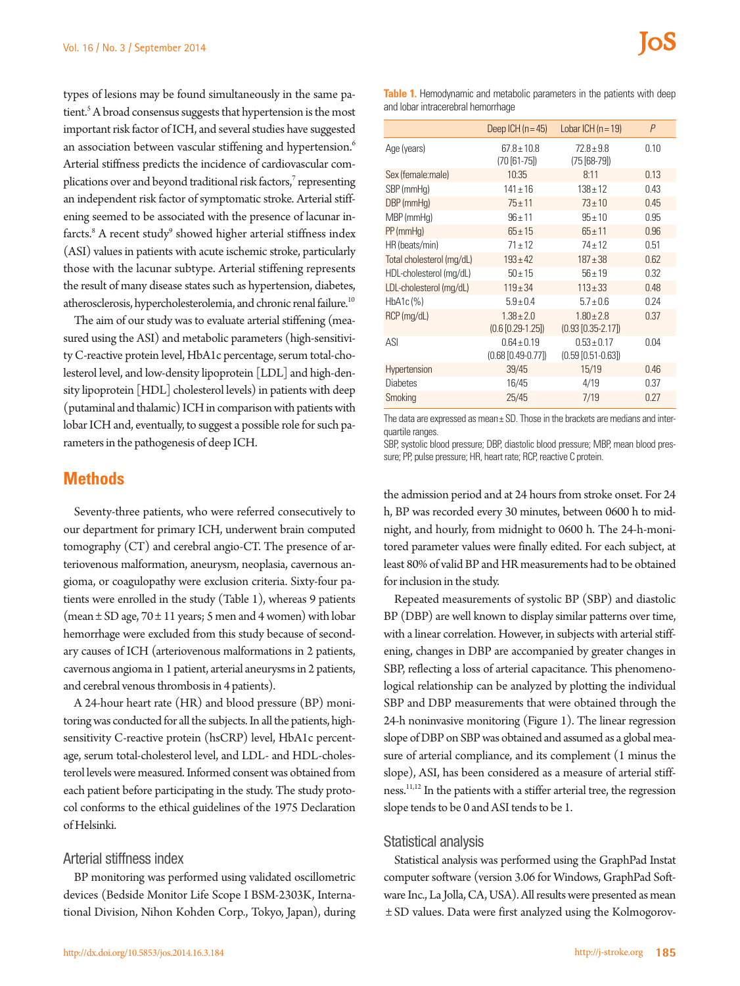types of lesions may be found simultaneously in the same patient.<sup>5</sup> A broad consensus suggests that hypertension is the most important risk factor of ICH, and several studies have suggested an association between vascular stiffening and hypertension.<sup>6</sup> Arterial stiffness predicts the incidence of cardiovascular complications over and beyond traditional risk factors, $^7$  representing an independent risk factor of symptomatic stroke. Arterial stiffening seemed to be associated with the presence of lacunar infarcts.<sup>8</sup> A recent study<sup>9</sup> showed higher arterial stiffness index (ASI) values in patients with acute ischemic stroke, particularly those with the lacunar subtype. Arterial stiffening represents the result of many disease states such as hypertension, diabetes, atherosclerosis, hypercholesterolemia, and chronic renal failure.<sup>10</sup>

The aim of our study was to evaluate arterial stiffening (measured using the ASI) and metabolic parameters (high-sensitivity C-reactive protein level, HbA1c percentage, serum total-cholesterol level, and low-density lipoprotein [LDL] and high-density lipoprotein [HDL] cholesterol levels) in patients with deep (putaminal and thalamic) ICH in comparison with patients with lobar ICH and, eventually, to suggest a possible role for such parameters in the pathogenesis of deep ICH.

### **Methods**

Seventy-three patients, who were referred consecutively to our department for primary ICH, underwent brain computed tomography (CT) and cerebral angio-CT. The presence of arteriovenous malformation, aneurysm, neoplasia, cavernous angioma, or coagulopathy were exclusion criteria. Sixty-four patients were enrolled in the study (Table 1), whereas 9 patients (mean  $\pm$  SD age, 70  $\pm$  11 years; 5 men and 4 women) with lobar hemorrhage were excluded from this study because of secondary causes of ICH (arteriovenous malformations in 2 patients, cavernous angioma in 1 patient, arterial aneurysms in 2 patients, and cerebral venous thrombosis in 4 patients).

A 24-hour heart rate (HR) and blood pressure (BP) monitoring was conducted for all the subjects. In all the patients, highsensitivity C-reactive protein (hsCRP) level, HbA1c percentage, serum total-cholesterol level, and LDL- and HDL-cholesterol levels were measured. Informed consent was obtained from each patient before participating in the study. The study protocol conforms to the ethical guidelines of the 1975 Declaration of Helsinki.

#### Arterial stiffness index

BP monitoring was performed using validated oscillometric devices (Bedside Monitor Life Scope I BSM-2303K, International Division, Nihon Kohden Corp., Tokyo, Japan), during

**Table 1.** Hemodynamic and metabolic parameters in the patients with deep and lobar intracerebral hemorrhage

|                           | Deep $ICH(n=45)$                             | Lobar $ICH(n=19)$                         | P    |
|---------------------------|----------------------------------------------|-------------------------------------------|------|
| Age (years)               | $67.8 \pm 10.8$<br>$(70 [61 - 75])$          | $72.8 + 9.8$<br>$(75 [68-79])$            | 0.10 |
| Sex (female:male)         | 10:35                                        | 8:11                                      | 0.13 |
| SBP (mmHg)                | $141 \pm 16$                                 | $138 + 12$                                | 0.43 |
| DBP (mmHq)                | $75 + 11$                                    | $73 + 10$                                 | 0.45 |
| MBP (mmHg)                | $96 + 11$                                    | $95 + 10$                                 | 0.95 |
| PP(mmHq)                  | $65 \pm 15$                                  | $65 \pm 11$                               | 0.96 |
| HR (beats/min)            | $71 + 12$                                    | $74 + 12$                                 | 0.51 |
| Total cholesterol (mg/dL) | $193 \pm 42$                                 | $187 + 38$                                | 0.62 |
| HDL-cholesterol (mg/dL)   | $50 + 15$                                    | $56 + 19$                                 | 0.32 |
| LDL-cholesterol (mg/dL)   | $119 \pm 34$                                 | $113 \pm 33$                              | 0.48 |
| HbA1c (%)                 | $5.9 + 0.4$                                  | $5.7 \pm 0.6$                             | 0.24 |
| $RCP$ (mg/dL)             | $1.38 + 2.0$<br>$(0.6 [0.29-1.25])$          | $1.80 \pm 2.8$<br>$(0.93 [0.35 - 2.17])$  | 0.37 |
| ASI                       | $0.64 \pm 0.19$<br>$(0.68 \, [0.49 - 0.77])$ | $0.53 \pm 0.17$<br>$(0.59 [0.51 - 0.63])$ | 0.04 |
| Hypertension              | 39/45                                        | 15/19                                     | 0.46 |
| <b>Diabetes</b>           | 16/45                                        | 4/19                                      | 0.37 |
| Smoking                   | 25/45                                        | 7/19                                      | 0.27 |

The data are expressed as mean $\pm$  SD. Those in the brackets are medians and interquartile ranges.

SBP, systolic blood pressure; DBP, diastolic blood pressure; MBP, mean blood pressure; PP, pulse pressure; HR, heart rate; RCP, reactive C protein.

the admission period and at 24 hours from stroke onset. For 24 h, BP was recorded every 30 minutes, between 0600 h to midnight, and hourly, from midnight to 0600 h. The 24-h-monitored parameter values were finally edited. For each subject, at least 80% of valid BP and HR measurements had to be obtained for inclusion in the study.

Repeated measurements of systolic BP (SBP) and diastolic BP (DBP) are well known to display similar patterns over time, with a linear correlation. However, in subjects with arterial stiffening, changes in DBP are accompanied by greater changes in SBP, reflecting a loss of arterial capacitance. This phenomenological relationship can be analyzed by plotting the individual SBP and DBP measurements that were obtained through the 24-h noninvasive monitoring (Figure 1). The linear regression slope of DBP on SBP was obtained and assumed as a global measure of arterial compliance, and its complement (1 minus the slope), ASI, has been considered as a measure of arterial stiffness.11,12 In the patients with a stiffer arterial tree, the regression slope tends to be 0 and ASI tends to be 1.

### Statistical analysis

Statistical analysis was performed using the GraphPad Instat computer software (version 3.06 for Windows, GraphPad Software Inc., La Jolla, CA, USA). All results were presented as mean ± SD values. Data were first analyzed using the Kolmogorov-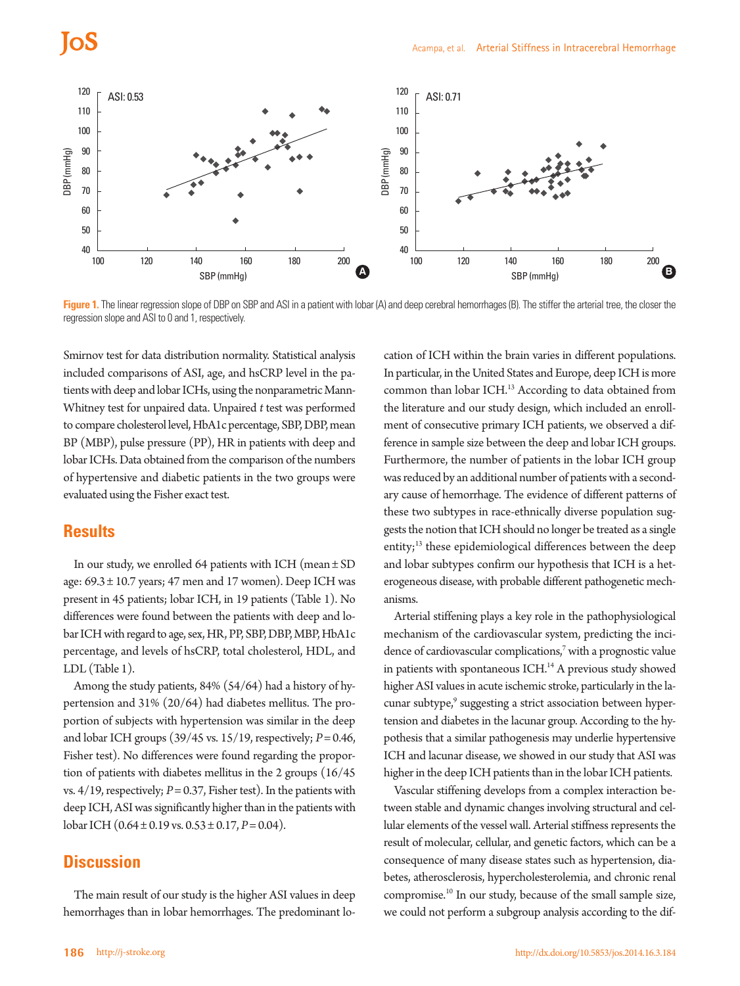## los



**Figure 1.** The linear regression slope of DBP on SBP and ASI in a patient with lobar (A) and deep cerebral hemorrhages (B). The stiffer the arterial tree, the closer the regression slope and ASI to 0 and 1, respectively.

Smirnov test for data distribution normality. Statistical analysis included comparisons of ASI, age, and hsCRP level in the patients with deep and lobar ICHs, using the nonparametric Mann-Whitney test for unpaired data. Unpaired *t* test was performed to compare cholesterol level, HbA1c percentage, SBP, DBP, mean BP (MBP), pulse pressure (PP), HR in patients with deep and lobar ICHs. Data obtained from the comparison of the numbers of hypertensive and diabetic patients in the two groups were evaluated using the Fisher exact test.

### **Results**

In our study, we enrolled 64 patients with ICH (mean  $\pm$  SD age: 69.3 ± 10.7 years; 47 men and 17 women). Deep ICH was present in 45 patients; lobar ICH, in 19 patients (Table 1). No differences were found between the patients with deep and lobar ICH with regard to age, sex, HR, PP, SBP, DBP, MBP, HbA1c percentage, and levels of hsCRP, total cholesterol, HDL, and LDL (Table 1).

Among the study patients, 84% (54/64) had a history of hypertension and 31% (20/64) had diabetes mellitus. The proportion of subjects with hypertension was similar in the deep and lobar ICH groups (39/45 vs. 15/19, respectively; *P*= 0.46, Fisher test). No differences were found regarding the proportion of patients with diabetes mellitus in the 2 groups (16/45 vs. 4/19, respectively; *P*= 0.37, Fisher test). In the patients with deep ICH, ASI was significantly higher than in the patients with lobar ICH (0.64 ± 0.19 vs. 0.53 ± 0.17, *P*= 0.04).

### **Discussion**

The main result of our study is the higher ASI values in deep hemorrhages than in lobar hemorrhages. The predominant location of ICH within the brain varies in different populations. In particular, in the United States and Europe, deep ICH is more common than lobar ICH.<sup>13</sup> According to data obtained from the literature and our study design, which included an enrollment of consecutive primary ICH patients, we observed a difference in sample size between the deep and lobar ICH groups. Furthermore, the number of patients in the lobar ICH group was reduced by an additional number of patients with a secondary cause of hemorrhage. The evidence of different patterns of these two subtypes in race-ethnically diverse population suggests the notion that ICH should no longer be treated as a single entity;<sup>13</sup> these epidemiological differences between the deep and lobar subtypes confirm our hypothesis that ICH is a heterogeneous disease, with probable different pathogenetic mechanisms.

Arterial stiffening plays a key role in the pathophysiological mechanism of the cardiovascular system, predicting the incidence of cardiovascular complications,<sup>7</sup> with a prognostic value in patients with spontaneous ICH.<sup>14</sup> A previous study showed higher ASI values in acute ischemic stroke, particularly in the lacunar subtype,<sup>9</sup> suggesting a strict association between hypertension and diabetes in the lacunar group. According to the hypothesis that a similar pathogenesis may underlie hypertensive ICH and lacunar disease, we showed in our study that ASI was higher in the deep ICH patients than in the lobar ICH patients.

Vascular stiffening develops from a complex interaction between stable and dynamic changes involving structural and cellular elements of the vessel wall. Arterial stiffness represents the result of molecular, cellular, and genetic factors, which can be a consequence of many disease states such as hypertension, diabetes, atherosclerosis, hypercholesterolemia, and chronic renal compromise.10 In our study, because of the small sample size, we could not perform a subgroup analysis according to the dif-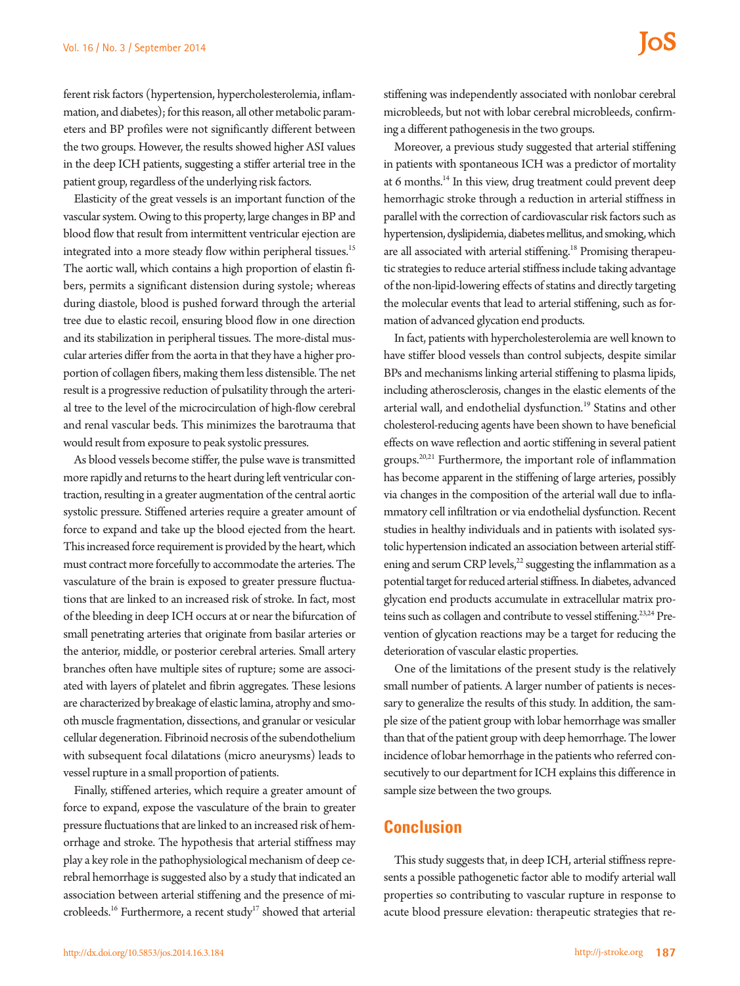ferent risk factors (hypertension, hypercholesterolemia, inflammation, and diabetes); for this reason, all other metabolic parameters and BP profiles were not significantly different between the two groups. However, the results showed higher ASI values in the deep ICH patients, suggesting a stiffer arterial tree in the patient group, regardless of the underlying risk factors.

Elasticity of the great vessels is an important function of the vascular system. Owing to this property, large changes in BP and blood flow that result from intermittent ventricular ejection are integrated into a more steady flow within peripheral tissues.<sup>15</sup> The aortic wall, which contains a high proportion of elastin fibers, permits a significant distension during systole; whereas during diastole, blood is pushed forward through the arterial tree due to elastic recoil, ensuring blood flow in one direction and its stabilization in peripheral tissues. The more-distal muscular arteries differ from the aorta in that they have a higher proportion of collagen fibers, making them less distensible. The net result is a progressive reduction of pulsatility through the arterial tree to the level of the microcirculation of high-flow cerebral and renal vascular beds. This minimizes the barotrauma that would result from exposure to peak systolic pressures.

As blood vessels become stiffer, the pulse wave is transmitted more rapidly and returns to the heart during left ventricular contraction, resulting in a greater augmentation of the central aortic systolic pressure. Stiffened arteries require a greater amount of force to expand and take up the blood ejected from the heart. This increased force requirement is provided by the heart, which must contract more forcefully to accommodate the arteries. The vasculature of the brain is exposed to greater pressure fluctuations that are linked to an increased risk of stroke. In fact, most of the bleeding in deep ICH occurs at or near the bifurcation of small penetrating arteries that originate from basilar arteries or the anterior, middle, or posterior cerebral arteries. Small artery branches often have multiple sites of rupture; some are associated with layers of platelet and fibrin aggregates. These lesions are characterized by breakage of elastic lamina, atrophy and smooth muscle fragmentation, dissections, and granular or vesicular cellular degeneration. Fibrinoid necrosis of the subendothelium with subsequent focal dilatations (micro aneurysms) leads to vessel rupture in a small proportion of patients.

Finally, stiffened arteries, which require a greater amount of force to expand, expose the vasculature of the brain to greater pressure fluctuations that are linked to an increased risk of hemorrhage and stroke. The hypothesis that arterial stiffness may play a key role in the pathophysiological mechanism of deep cerebral hemorrhage is suggested also by a study that indicated an association between arterial stiffening and the presence of microbleeds.<sup>16</sup> Furthermore, a recent study<sup>17</sup> showed that arterial

stiffening was independently associated with nonlobar cerebral microbleeds, but not with lobar cerebral microbleeds, confirming a different pathogenesis in the two groups.

Moreover, a previous study suggested that arterial stiffening in patients with spontaneous ICH was a predictor of mortality at 6 months.<sup>14</sup> In this view, drug treatment could prevent deep hemorrhagic stroke through a reduction in arterial stiffness in parallel with the correction of cardiovascular risk factors such as hypertension, dyslipidemia, diabetes mellitus, and smoking, which are all associated with arterial stiffening.<sup>18</sup> Promising therapeutic strategies to reduce arterial stiffness include taking advantage of the non-lipid-lowering effects of statins and directly targeting the molecular events that lead to arterial stiffening, such as formation of advanced glycation end products.

In fact, patients with hypercholesterolemia are well known to have stiffer blood vessels than control subjects, despite similar BPs and mechanisms linking arterial stiffening to plasma lipids, including atherosclerosis, changes in the elastic elements of the arterial wall, and endothelial dysfunction.<sup>19</sup> Statins and other cholesterol-reducing agents have been shown to have beneficial effects on wave reflection and aortic stiffening in several patient groups.20,21 Furthermore, the important role of inflammation has become apparent in the stiffening of large arteries, possibly via changes in the composition of the arterial wall due to inflammatory cell infiltration or via endothelial dysfunction. Recent studies in healthy individuals and in patients with isolated systolic hypertension indicated an association between arterial stiffening and serum CRP levels,<sup>22</sup> suggesting the inflammation as a potential target for reduced arterial stiffness. In diabetes, advanced glycation end products accumulate in extracellular matrix proteins such as collagen and contribute to vessel stiffening.<sup>23,24</sup> Prevention of glycation reactions may be a target for reducing the deterioration of vascular elastic properties.

One of the limitations of the present study is the relatively small number of patients. A larger number of patients is necessary to generalize the results of this study. In addition, the sample size of the patient group with lobar hemorrhage was smaller than that of the patient group with deep hemorrhage. The lower incidence of lobar hemorrhage in the patients who referred consecutively to our department for ICH explains this difference in sample size between the two groups.

### **Conclusion**

This study suggests that, in deep ICH, arterial stiffness represents a possible pathogenetic factor able to modify arterial wall properties so contributing to vascular rupture in response to acute blood pressure elevation: therapeutic strategies that re-